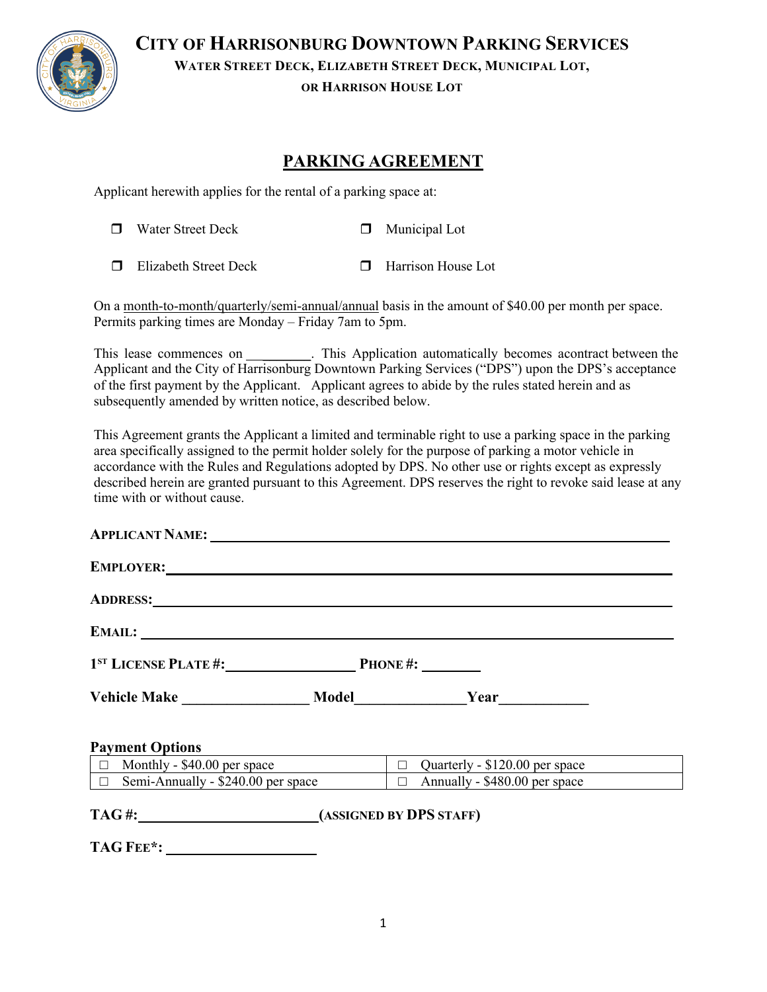

**CITY OF HARRISONBURG DOWNTOWN PARKING SERVICES**

**WATER STREET DECK, ELIZABETH STREET DECK, MUNICIPAL LOT,**

**OR HARRISON HOUSE LOT**

# **PARKING AGREEMENT**

Applicant herewith applies for the rental of a parking space at:

|  | $\Box$ Water Street Deck     | $\Box$ Municipal Lot      |
|--|------------------------------|---------------------------|
|  | $\Box$ Elizabeth Street Deck | <b>Harrison House Lot</b> |

On a month-to-month/quarterly/semi-annual/annual basis in the amount of \$40.00 per month per space. Permits parking times are Monday – Friday 7am to 5pm.

This lease commences on \_\_\_\_\_\_\_\_. This Application automatically becomes acontract between the Applicant and the City of Harrisonburg Downtown Parking Services ("DPS") upon the DPS's acceptance of the first payment by the Applicant. Applicant agrees to abide by the rules stated herein and as subsequently amended by written notice, as described below.

This Agreement grants the Applicant a limited and terminable right to use a parking space in the parking area specifically assigned to the permit holder solely for the purpose of parking a motor vehicle in accordance with the Rules and Regulations adopted by DPS. No other use or rights except as expressly described herein are granted pursuant to this Agreement. DPS reserves the right to revoke said lease at any time with or without cause.

| EMPLOYER: 2008 COMPLETE: 2008 COMPLETE: 2008 COMPLETE: 2008 COMPLETE: 2008 COMPLETE: 2008 COMPLETE: 2008 COMPLETE: 2008 COMPLETE: 2008 COMPLETE: 2008 COMPLETE: 2008 COMPLETE: 2008 COMPLETE: 2008 COMPLETE: 2008 COMPLETE: 20 |                                                                                |  |  |
|--------------------------------------------------------------------------------------------------------------------------------------------------------------------------------------------------------------------------------|--------------------------------------------------------------------------------|--|--|
| ADDRESS: NORTH SERVICES AND RESIDENCE AND RESIDENCE AND RESIDENCE AND RESIDENCE AND RESIDENCE AND RESIDENCE AND RESIDENCE AND RESIDENCE AND RESIDENCE AND RESIDENCE AND RESIDENCE AND RESIDENCE AND RESIDENCE AND RESIDENCE AN |                                                                                |  |  |
|                                                                                                                                                                                                                                |                                                                                |  |  |
|                                                                                                                                                                                                                                |                                                                                |  |  |
|                                                                                                                                                                                                                                |                                                                                |  |  |
| <b>Payment Options</b>                                                                                                                                                                                                         |                                                                                |  |  |
| $\boxed{\Box}$ Monthly - \$40.00 per space $\boxed{\Box}$ Quarterly - \$120.00 per space                                                                                                                                       |                                                                                |  |  |
|                                                                                                                                                                                                                                | $\Box$ Semi-Annually - \$240.00 per space $\Box$ Annually - \$480.00 per space |  |  |
| TAG#: (ASSIGNED BY DPS STAFF)                                                                                                                                                                                                  |                                                                                |  |  |

1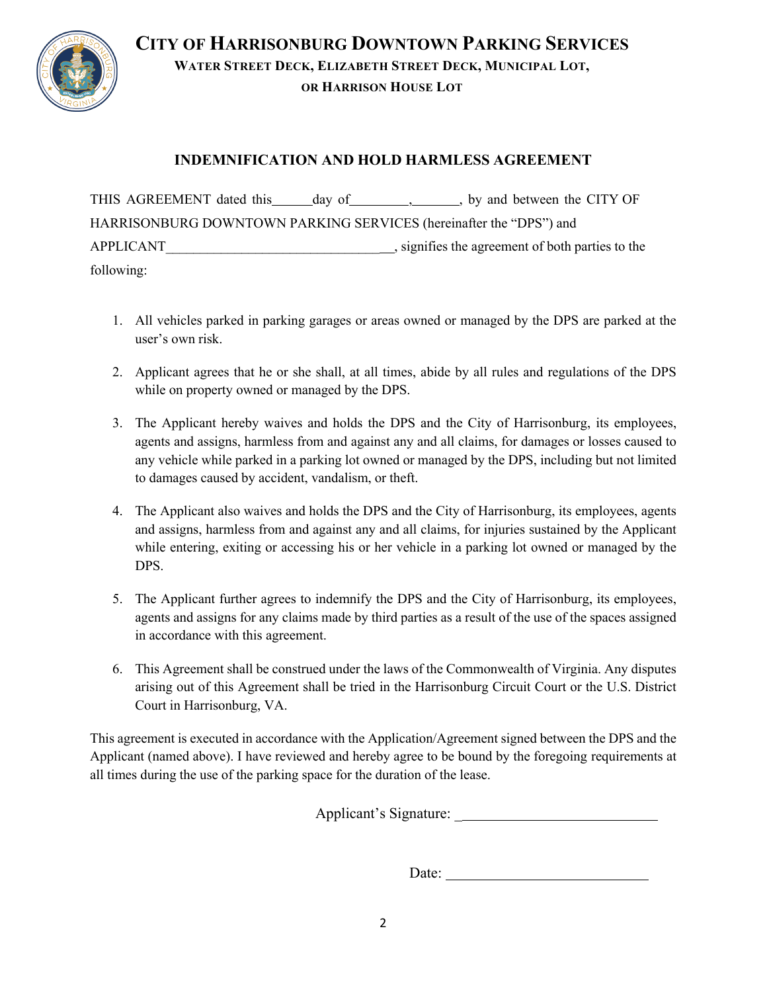

**CITY OF HARRISONBURG DOWNTOWN PARKING SERVICES WATER STREET DECK, ELIZABETH STREET DECK, MUNICIPAL LOT, OR HARRISON HOUSE LOT**

## **INDEMNIFICATION AND HOLD HARMLESS AGREEMENT**

THIS AGREEMENT dated this day of , , , by and between the CITY OF HARRISONBURG DOWNTOWN PARKING SERVICES (hereinafter the "DPS") and APPLICANT\_\_\_\_\_\_\_\_\_\_\_\_\_\_\_\_\_\_\_\_\_\_\_\_\_\_\_\_\_\_\_ , signifies the agreement of both parties to the following:

- 1. All vehicles parked in parking garages or areas owned or managed by the DPS are parked at the user's own risk.
- 2. Applicant agrees that he or she shall, at all times, abide by all rules and regulations of the DPS while on property owned or managed by the DPS.
- 3. The Applicant hereby waives and holds the DPS and the City of Harrisonburg, its employees, agents and assigns, harmless from and against any and all claims, for damages or losses caused to any vehicle while parked in a parking lot owned or managed by the DPS, including but not limited to damages caused by accident, vandalism, or theft.
- 4. The Applicant also waives and holds the DPS and the City of Harrisonburg, its employees, agents and assigns, harmless from and against any and all claims, for injuries sustained by the Applicant while entering, exiting or accessing his or her vehicle in a parking lot owned or managed by the DPS.
- 5. The Applicant further agrees to indemnify the DPS and the City of Harrisonburg, its employees, agents and assigns for any claims made by third parties as a result of the use of the spaces assigned in accordance with this agreement.
- 6. This Agreement shall be construed under the laws of the Commonwealth of Virginia. Any disputes arising out of this Agreement shall be tried in the Harrisonburg Circuit Court or the U.S. District Court in Harrisonburg, VA.

This agreement is executed in accordance with the Application/Agreement signed between the DPS and the Applicant (named above). I have reviewed and hereby agree to be bound by the foregoing requirements at all times during the use of the parking space for the duration of the lease.

Applicant's Signature: \_

Date: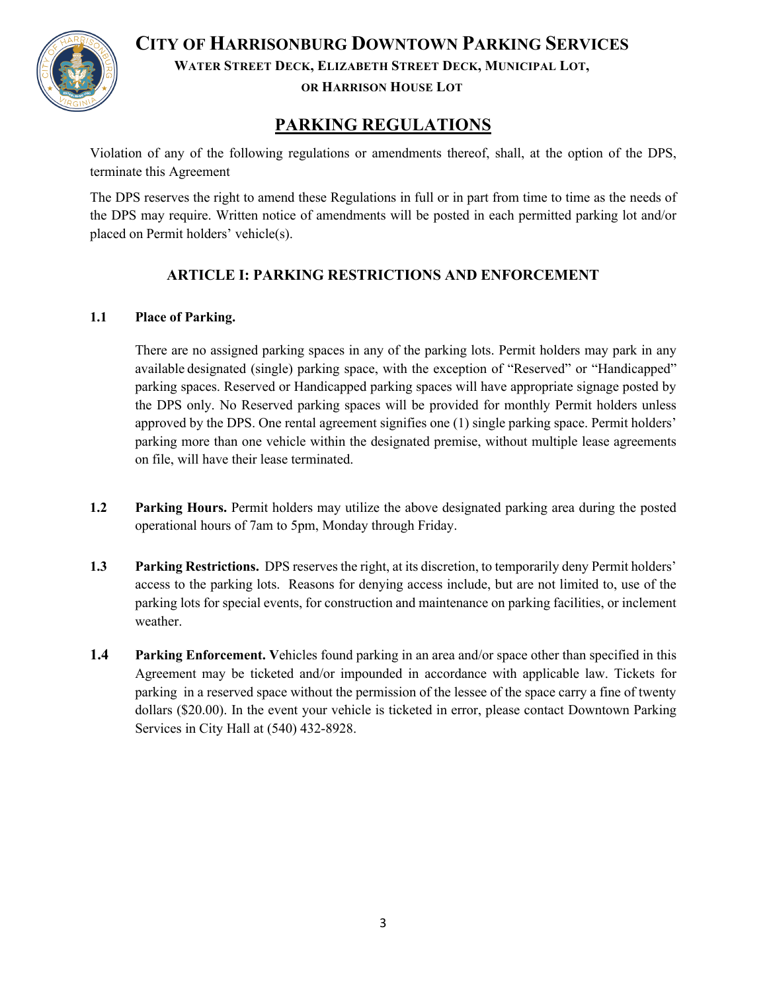

**CITY OF HARRISONBURG DOWNTOWN PARKING SERVICES**

**WATER STREET DECK, ELIZABETH STREET DECK, MUNICIPAL LOT,**

**OR HARRISON HOUSE LOT**

# **PARKING REGULATIONS**

Violation of any of the following regulations or amendments thereof, shall, at the option of the DPS, terminate this Agreement

The DPS reserves the right to amend these Regulations in full or in part from time to time as the needs of the DPS may require. Written notice of amendments will be posted in each permitted parking lot and/or placed on Permit holders' vehicle(s).

# **ARTICLE I: PARKING RESTRICTIONS AND ENFORCEMENT**

#### **1.1 Place of Parking.**

There are no assigned parking spaces in any of the parking lots. Permit holders may park in any available designated (single) parking space, with the exception of "Reserved" or "Handicapped" parking spaces. Reserved or Handicapped parking spaces will have appropriate signage posted by the DPS only. No Reserved parking spaces will be provided for monthly Permit holders unless approved by the DPS. One rental agreement signifies one (1) single parking space. Permit holders' parking more than one vehicle within the designated premise, without multiple lease agreements on file, will have their lease terminated.

- **1.2 Parking Hours.** Permit holders may utilize the above designated parking area during the posted operational hours of 7am to 5pm, Monday through Friday.
- **1.3 Parking Restrictions.** DPS reserves the right, at its discretion, to temporarily deny Permit holders' access to the parking lots. Reasons for denying access include, but are not limited to, use of the parking lots for special events, for construction and maintenance on parking facilities, or inclement weather.
- **1.4 Parking Enforcement. V**ehicles found parking in an area and/or space other than specified in this Agreement may be ticketed and/or impounded in accordance with applicable law. Tickets for parking in a reserved space without the permission of the lessee of the space carry a fine of twenty dollars (\$20.00). In the event your vehicle is ticketed in error, please contact Downtown Parking Services in City Hall at (540) 432-8928.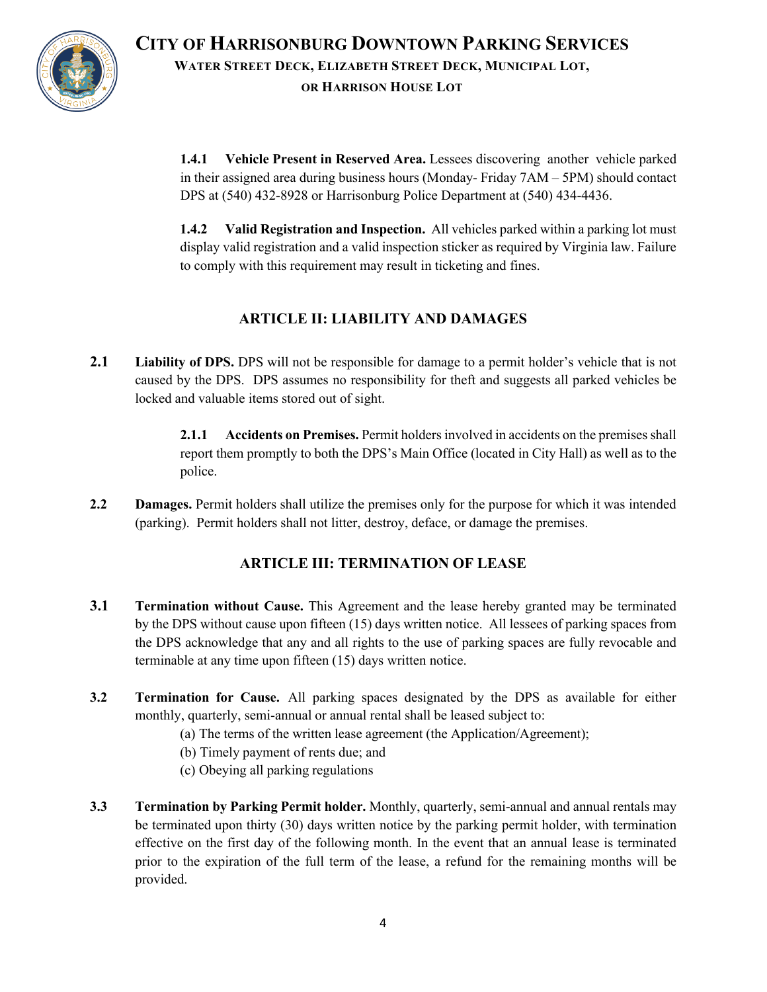

**CITY OF HARRISONBURG DOWNTOWN PARKING SERVICES WATER STREET DECK, ELIZABETH STREET DECK, MUNICIPAL LOT, OR HARRISON HOUSE LOT**

**1.4.1 Vehicle Present in Reserved Area.** Lessees discovering another vehicle parked in their assigned area during business hours (Monday- Friday 7AM – 5PM) should contact DPS at (540) 432-8928 or Harrisonburg Police Department at (540) 434-4436.

**1.4.2 Valid Registration and Inspection.** All vehicles parked within a parking lot must display valid registration and a valid inspection sticker as required by Virginia law. Failure to comply with this requirement may result in ticketing and fines.

# **ARTICLE II: LIABILITY AND DAMAGES**

**2.1 Liability of DPS.** DPS will not be responsible for damage to a permit holder's vehicle that is not caused by the DPS. DPS assumes no responsibility for theft and suggests all parked vehicles be locked and valuable items stored out of sight.

> **2.1.1 Accidents on Premises.** Permit holders involved in accidents on the premises shall report them promptly to both the DPS's Main Office (located in City Hall) as well as to the police.

**2.2 Damages.** Permit holders shall utilize the premises only for the purpose for which it was intended (parking). Permit holders shall not litter, destroy, deface, or damage the premises.

### **ARTICLE III: TERMINATION OF LEASE**

- **3.1 Termination without Cause.** This Agreement and the lease hereby granted may be terminated by the DPS without cause upon fifteen (15) days written notice. All lessees of parking spaces from the DPS acknowledge that any and all rights to the use of parking spaces are fully revocable and terminable at any time upon fifteen (15) days written notice.
- **3.2 Termination for Cause.** All parking spaces designated by the DPS as available for either monthly, quarterly, semi-annual or annual rental shall be leased subject to:
	- (a) The terms of the written lease agreement (the Application/Agreement);
	- (b) Timely payment of rents due; and
	- (c) Obeying all parking regulations
- **3.3 Termination by Parking Permit holder.** Monthly, quarterly, semi-annual and annual rentals may be terminated upon thirty (30) days written notice by the parking permit holder, with termination effective on the first day of the following month. In the event that an annual lease is terminated prior to the expiration of the full term of the lease, a refund for the remaining months will be provided.